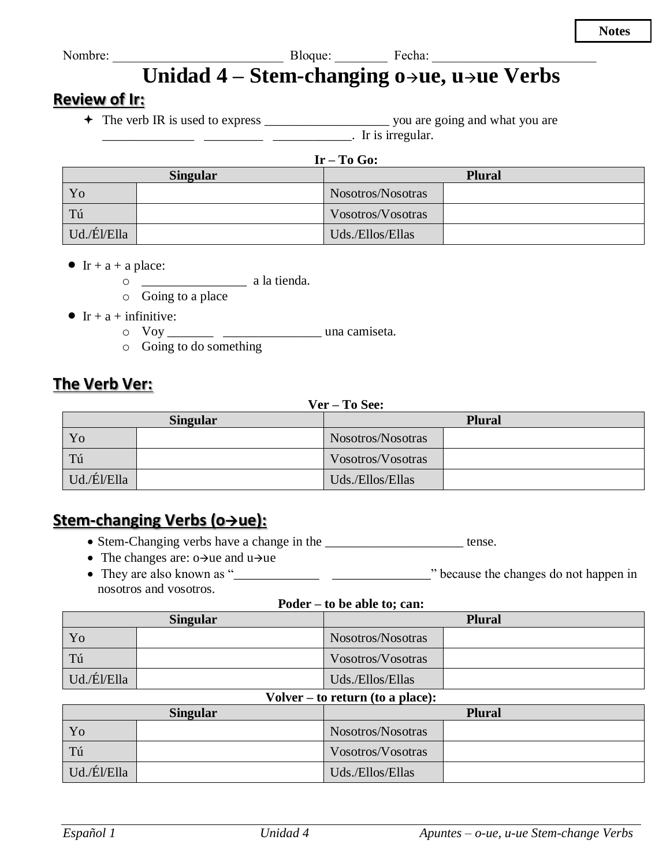**Notes** 

Unidad 4 - Stem-changing o-ue, u-ue Verbs

### **Review of Ir:**

 $\overline{\phantom{a}}$   $\overline{\phantom{a}}$   $\overline{\phantom{a}}$   $\overline{\phantom{a}}$   $\overline{\phantom{a}}$   $\overline{\phantom{a}}$   $\overline{\phantom{a}}$   $\overline{\phantom{a}}$   $\overline{\phantom{a}}$   $\overline{\phantom{a}}$   $\overline{\phantom{a}}$   $\overline{\phantom{a}}$   $\overline{\phantom{a}}$   $\overline{\phantom{a}}$   $\overline{\phantom{a}}$   $\overline{\phantom{a}}$   $\overline{\phantom{a}}$   $\overline{\phantom{a}}$   $\overline{\$ 

| <b>START</b> |  |
|--------------|--|
|--------------|--|

| <b>Singular</b> |  | <b>Plural</b>     |  |
|-----------------|--|-------------------|--|
| Yo              |  | Nosotros/Nosotras |  |
| Tú              |  | Vosotros/Vosotras |  |
| Ud./Él/Ella     |  | Uds./Ellos/Ellas  |  |

- Ir + a + a place:
	- $\circ$   $\qquad$   $\qquad$   $\qquad$   $\qquad$  a la tienda.
	- $\circ$  Going to a place
- Ir + a + infinitive:
	- $\circ$  Voy una camiseta.
	- $\circ$  Going to do something

# The Verb Ver:

### Ver - To See:

| <b>Singular</b> |             | <b>Plural</b> |                   |  |
|-----------------|-------------|---------------|-------------------|--|
|                 | Yo          |               | Nosotros/Nosotras |  |
|                 | Tú          |               | Vosotros/Vosotras |  |
|                 | Ud./Él/Ella |               | Uds./Ellos/Ellas  |  |

# Stem-changing Verbs (o→ue):

- Stem-Changing verbs have a change in the \_\_\_\_\_\_\_\_\_\_\_\_\_\_\_\_\_\_\_\_\_\_\_ tense.
- The changes are:  $o \rightarrow ue$  and  $u \rightarrow ue$
- nosotros and vosotros.

#### Poder – to be able to: can:

| <b>Singular</b> |  | <b>Plural</b>     |  |
|-----------------|--|-------------------|--|
| Yo              |  | Nosotros/Nosotras |  |
| Tú              |  | Vosotros/Vosotras |  |
| Ud./Él/Ella     |  | Uds./Ellos/Ellas  |  |

#### Volver  $-$  to return (to a place):

| <b>Singular</b> |  | <b>Plural</b>     |  |
|-----------------|--|-------------------|--|
| Yo              |  | Nosotros/Nosotras |  |
| Tú              |  | Vosotros/Vosotras |  |
| Ud./Él/Ella     |  | Uds./Ellos/Ellas  |  |